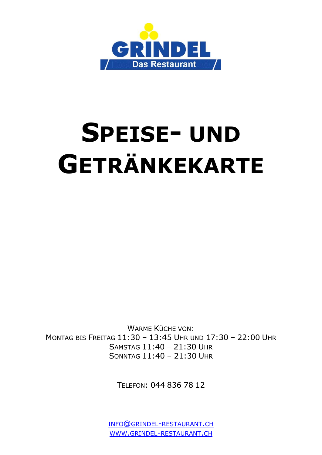

# **SPEISE- UND GETRÄNKEKARTE**

WARME KÜCHE VON: MONTAG BIS FREITAG 11:30 – 13:45 UHR UND 17:30 – 22:00 UHR SAMSTAG 11:40 – 21:30 UHR SONNTAG 11:40 – 21:30 UHR

TELEFON: 044 836 78 12

INFO@GRINDEL-[RESTAURANT](mailto:info@grindel-restaurant.ch).CH WWW.GRINDEL-[RESTAURANT](http://www.grindel-restaurant.ch/).CH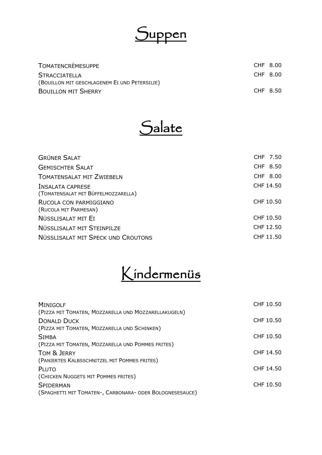

| TOMATENCRÈMESUPPE                             | CHF 8.00 |  |
|-----------------------------------------------|----------|--|
| <b>STRACCIATELLA</b>                          | CHF 8.00 |  |
| (BOUILLON MIT GESCHLAGENEM EI UND PETERSILIE) |          |  |
| <b>BOUILLON MIT SHERRY</b>                    | CHF 8.50 |  |



| <b>GRÜNER SALAT</b>                                            | CHF 7.50  |  |
|----------------------------------------------------------------|-----------|--|
| <b>GEMISCHTER SALAT</b>                                        | CHF 8.50  |  |
| <b>TOMATENSALAT MIT ZWIEBELN</b>                               | CHF 8.00  |  |
| <b>INSALATA CAPRESE</b><br>(TOMATENSALAT MIT BÜFFELMOZZARELLA) | CHF 14.50 |  |
| RUCOLA CON PARMIGGIANO<br>(RUCOLA MIT PARMESAN)                | CHF 10.50 |  |
| NÜSSLISALAT MIT EI                                             | CHF 10.50 |  |
| NÜSSLISALAT MIT STEINPILZE                                     | CHF 12.50 |  |
| NÜSSLISALAT MIT SPECK UND CROUTONS                             | CHF 11.50 |  |

### Kindermenüs

| <b>MINIGOLF</b>                                          | CHF 10.50 |
|----------------------------------------------------------|-----------|
| (PIZZA MIT TOMATEN, MOZZARELLA UND MOZZARELLAKUGELN)     |           |
| <b>DONALD DUCK</b>                                       | CHF 10.50 |
| (PIZZA MIT TOMATEN, MOZZARELLA UND SCHINKEN)             |           |
| <b>SIMBA</b>                                             | CHF 10.50 |
| (PIZZA MIT TOMATEN, MOZZARELLA UND POMMES FRITES)        |           |
| TOM & JERRY                                              | CHF 14.50 |
| (PANIERTES KALBSSCHNITZEL MIT POMMES FRITES)             |           |
| PLUTO                                                    | CHF 14.50 |
| (CHICKEN NUGGETS MIT POMMES FRITES)                      |           |
| <b>SPIDERMAN</b>                                         | CHF 10.50 |
| (SPAGHETTI MIT TOMATEN-, CARBONARA- ODER BOLOGNESESAUCE) |           |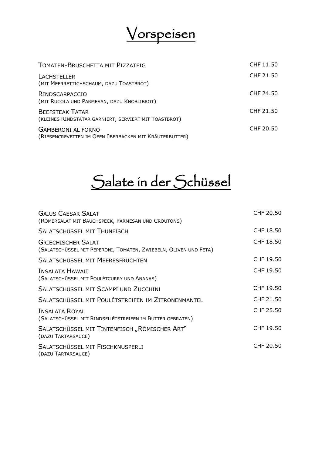

| <b>TOMATEN-BRUSCHETTA MIT PIZZATEIG</b>                                             | CHF 11.50 |
|-------------------------------------------------------------------------------------|-----------|
| <b>LACHSTELLER</b><br>(MIT MEERRETTICHSCHAUM, DAZU TOASTBROT)                       | CHF 21.50 |
| <b>RINDSCARPACCIO</b><br>(MIT RUCOLA UND PARMESAN, DAZU KNOBLIBROT)                 | CHF 24.50 |
| <b>BEEFSTEAK TATAR</b><br>(KLEINES RINDSTATAR GARNIERT, SERVIERT MIT TOASTBROT)     | CHF 21.50 |
| <b>GAMBERONI AL FORNO</b><br>(RIESENCREVETTEN IM OFEN ÜBERBACKEN MIT KRÄUTERBUTTER) | CHF 20.50 |

# Salate in der Schüssel

| <b>GAIUS CAESAR SALAT</b><br>(RÖMERSALAT MIT BAUCHSPECK, PARMESAN UND CROUTONS)               | CHF 20.50 |
|-----------------------------------------------------------------------------------------------|-----------|
| <b>SALATSCHÜSSEL MIT THUNFISCH</b>                                                            | CHF 18.50 |
| <b>GRIECHISCHER SALAT</b><br>(SALATSCHÜSSEL MIT PEPERONI, TOMATEN, ZWIEBELN, OLIVEN UND FETA) | CHF 18.50 |
| SALATSCHÜSSEL MIT MEERESFRÜCHTEN                                                              | CHF 19.50 |
| <b>INSALATA HAWAII</b><br>(SALATSCHÜSSEL MIT POULÉTCURRY UND ANANAS)                          | CHF 19.50 |
| SALATSCHÜSSEL MIT SCAMPI UND ZUCCHINI                                                         | CHF 19.50 |
| SALATSCHÜSSEL MIT POULÉTSTREIFEN IM ZITRONENMANTEL                                            | CHF 21.50 |
| <b>INSALATA ROYAL</b><br>(SALATSCHÜSSEL MIT RINDSFILÉTSTREIFEN IM BUTTER GEBRATEN)            | CHF 25.50 |
| SALATSCHÜSSEL MIT TINTENFISCH "RÖMISCHER ART"<br>(DAZU TARTARSAUCE)                           | CHF 19.50 |
| SALATSCHÜSSEL MIT FISCHKNUSPERLI<br>(DAZU TARTARSAUCE)                                        | CHF 20.50 |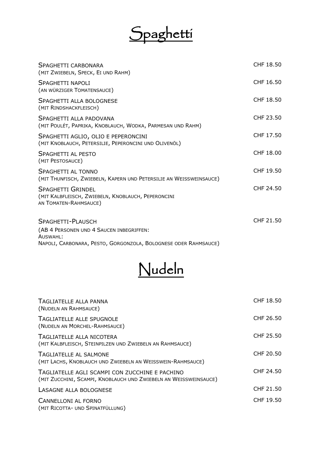# Spaghetti

| SPAGHETTI CARBONARA<br>(MIT ZWIEBELN, SPECK, EI UND RAHM)                                               | CHF 18.50 |
|---------------------------------------------------------------------------------------------------------|-----------|
| SPAGHETTI NAPOLI<br>(AN WÜRZIGER TOMATENSAUCE)                                                          | CHF 16.50 |
| SPAGHETTI ALLA BOLOGNESE<br>(MIT RINDSHACKFLEISCH)                                                      | CHF 18.50 |
| SPAGHETTI ALLA PADOVANA<br>(MIT POULÉT, PAPRIKA, KNOBLAUCH, WODKA, PARMESAN UND RAHM)                   | CHF 23.50 |
| SPAGHETTI AGLIO, OLIO E PEPERONCINI<br>(MIT KNOBLAUCH, PETERSILIE, PEPERONCINI UND OLIVENÖL)            | CHF 17.50 |
| SPAGHETTI AI PESTO<br>(MIT PESTOSAUCE)                                                                  | CHF 18.00 |
| SPAGHETTI AL TONNO<br>(MIT THUNFISCH, ZWIEBELN, KAPERN UND PETERSILIE AN WEISSWEINSAUCE)                | CHF 19.50 |
| <b>SPAGHETTI GRINDEL</b><br>(MIT KALBFLEISCH, ZWIEBELN, KNOBLAUCH, PEPERONCINI<br>AN TOMATEN-RAHMSAUCE) | CHF 24.50 |
| SPAGHETTI-PLAUSCH                                                                                       | CHF 21.50 |
| (AB 4 PERSONEN UND 4 SAUCEN INBEGRIFFEN:<br>AUSWAHI:                                                    |           |
| NAPOLI, CARBONARA, PESTO, GORGONZOLA, BOLOGNESE ODER RAHMSAUCE)                                         |           |



| TAGLIATELLE ALLA PANNA<br>(NUDELN AN RAHMSAUCE)                                                                    | CHF 18.50 |
|--------------------------------------------------------------------------------------------------------------------|-----------|
| <b>TAGLIATELLE ALLE SPUGNOLE</b><br>(NUDELN AN MORCHEL-RAHMSAUCE)                                                  | CHF 26.50 |
| TAGLIATELLE ALLA NICOTERA<br>(MIT KALBFLEISCH, STEINPILZEN UND ZWIEBELN AN RAHMSAUCE)                              | CHF 25.50 |
| <b>TAGLIATELLE AL SALMONE</b><br>(MIT LACHS, KNOBLAUCH UND ZWIEBELN AN WEISSWEIN-RAHMSAUCE)                        | CHF 20.50 |
| TAGLIATELLE AGLI SCAMPI CON ZUCCHINE E PACHINO<br>(MIT ZUCCHINI, SCAMPI, KNOBLAUCH UND ZWIEBELN AN WEISSWEINSAUCE) | CHF 24.50 |
| LASAGNE ALLA BOLOGNESE                                                                                             | CHF 21.50 |
| CANNELLONI AL FORNO<br>(MIT RICOTTA- UND SPINATFÜLLUNG)                                                            | CHF 19.50 |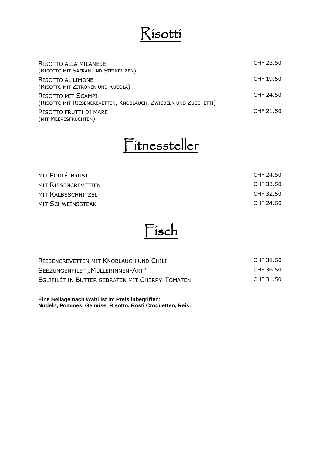### Risotti

| RISOTTO ALLA MILANESE                                            | CHF 23.50 |
|------------------------------------------------------------------|-----------|
| (RISOTTO MIT SAFRAN UND STEINPILZEN)                             |           |
| RISOTTO AL LIMONE                                                | CHF 19.50 |
| (RISOTTO MIT ZITRONEN UND RUCOLA)                                |           |
| RISOTTO MIT SCAMPI                                               | CHF 24.50 |
| (RISOTTO MIT RIESENCREVETTEN, KNOBLAUCH, ZWIEBELN UND ZUCCHETTI) |           |
| RISOTTO FRUTTI DI MARE                                           | CHF 21.50 |
| (MIT MEERESFRÜCHTEN)                                             |           |

### Fitnessteller

| <b>MIT POULÉTBRUST</b>     | CHF 24.50 |
|----------------------------|-----------|
| <b>MIT RIESENCREVETTEN</b> | CHF 33.50 |
| MIT KALBSSCHNITZEL         | CHF 32.50 |
| MIT SCHWEINSSTEAK          | CHF 24.50 |



| RIESENCREVETTEN MIT KNOBLAUCH UND CHILI         | CHF 38.50 |
|-------------------------------------------------|-----------|
| SEEZUNGENFILÉT "MÜLLERINNEN-ART"                | CHF 36.50 |
| EGLIFILÉT IN BUTTER GEBRATEN MIT CHERRY-TOMATEN | CHF 31.50 |

**Eine Beilage nach Wahl ist im Preis inbegriffen: Nudeln, Pommes, Gemüse, Risotto, Rösti Croquetten, Reis.**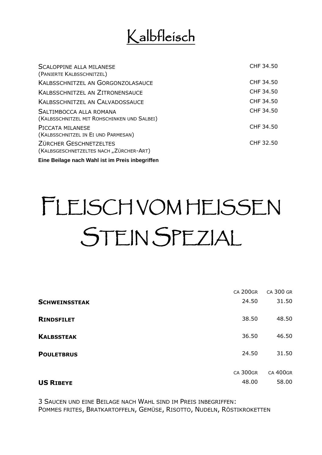### Kalbfleisch

| <b>SCALOPPINE ALLA MILANESE</b>                                          | CHF 34.50 |
|--------------------------------------------------------------------------|-----------|
| (PANIERTE KALBSSCHNITZEL)                                                |           |
| <b>KALBSSCHNITZEL AN GORGONZOLASAUCE</b>                                 | CHF 34.50 |
| <b>KALBSSCHNITZEL AN ZITRONENSAUCE</b>                                   | CHF 34.50 |
| <b>KALBSSCHNITZEL AN CALVADOSSAUCE</b>                                   | CHF 34.50 |
| SALTIMBOCCA ALLA ROMANA<br>(KALBSSCHNITZEL MIT ROHSCHINKEN UND SALBEI)   | CHF 34.50 |
| PICCATA MILANESE<br>(KALBSSCHNITZEL IN EI UND PARMESAN)                  | CHF 34.50 |
| <b>ZÜRCHER GESCHNETZELTES</b><br>(KALBSGESCHNETZELTES NACH "ZÜRCHER-ART) | CHF 32.50 |
| Eine Beilage nach Wahl ist im Preis inbegriffen                          |           |

# FLEISCH VOM HEISSEN STEIN SPEZIAL

|                      | <b>CA 200GR</b> | CA 300 GR       |
|----------------------|-----------------|-----------------|
| <b>SCHWEINSSTEAK</b> | 24.50           | 31.50           |
| <b>RINDSFILET</b>    | 38.50           | 48.50           |
| <b>KALBSSTEAK</b>    | 36.50           | 46.50           |
| <b>POULETBRUS</b>    | 24.50           | 31.50           |
|                      | <b>CA 300GR</b> | <b>CA 400GR</b> |
| <b>US RIBEYE</b>     | 48.00           | 58.00           |

3 SAUCEN UND EINE BEILAGE NACH WAHL SIND IM PREIS INBEGRIFFEN: POMMES FRITES, BRATKARTOFFELN, GEMÜSE, RISOTTO, NUDELN, RÖSTIKROKETTEN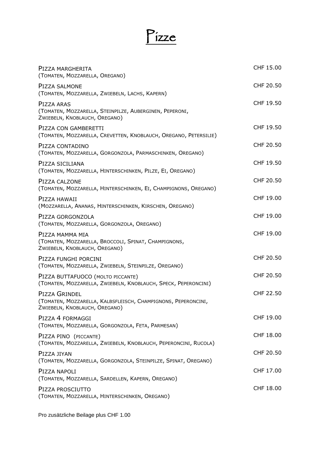# Pizze

| PIZZA MARGHERITA<br>(TOMATEN, MOZZARELLA, OREGANO)                                                              | CHF 15.00 |
|-----------------------------------------------------------------------------------------------------------------|-----------|
| PIZZA SALMONE<br>(TOMATEN, MOZZARELLA, ZWIEBELN, LACHS, KAPERN)                                                 | CHF 20.50 |
| PIZZA ARAS<br>(TOMATEN, MOZZARELLA, STEINPILZE, AUBERGINEN, PEPERONI,<br>ZWIEBELN, KNOBLAUCH, OREGANO)          | CHF 19.50 |
| PIZZA CON GAMBERETTI<br>(TOMATEN, MOZZARELLA, CREVETTEN, KNOBLAUCH, OREGANO, PETERSILIE)                        | CHF 19.50 |
| PIZZA CONTADINO<br>(TOMATEN, MOZZARELLA, GORGONZOLA, PARMASCHINKEN, OREGANO)                                    | CHF 20.50 |
| PIZZA SICILIANA<br>(TOMATEN, MOZZARELLA, HINTERSCHINKEN, PILZE, EI, OREGANO)                                    | CHF 19.50 |
| PIZZA CALZONE<br>(TOMATEN, MOZZARELLA, HINTERSCHINKEN, EI, CHAMPIGNONS, OREGANO)                                | CHF 20.50 |
| PIZZA HAWAII<br>(MOZZARELLA, ANANAS, HINTERSCHINKEN, KIRSCHEN, OREGANO)                                         | CHF 19.00 |
| PIZZA GORGONZOLA<br>(TOMATEN, MOZZARELLA, GORGONZOLA, OREGANO)                                                  | CHF 19.00 |
| PIZZA MAMMA MIA<br>(TOMATEN, MOZZARELLA, BROCCOLI, SPINAT, CHAMPIGNONS,<br>ZWIEBELN, KNOBLAUCH, OREGANO)        | CHF 19.00 |
| PIZZA FUNGHI PORCINI<br>(TOMATEN, MOZZARELLA, ZWIEBELN, STEINPILZE, OREGANO)                                    | CHF 20.50 |
| PIZZA BUTTAFUOCO (MOLTO PICCANTE)<br>(TOMATEN, MOZZARELLA, ZWIEBELN, KNOBLAUCH, SPECK, PEPERONCINI)             | CHF 20.50 |
| PIZZA GRINDEL<br>(TOMATEN, MOZZARELLA, KALBSFLEISCH, CHAMPIGNONS, PEPERONCINI,<br>ZWIEBELN, KNOBLAUCH, OREGANO) | CHF 22.50 |
| PIZZA 4 FORMAGGI<br>(TOMATEN, MOZZARELLA, GORGONZOLA, FETA, PARMESAN)                                           | CHF 19.00 |
| PIZZA PINO (PICCANTE)<br>(TOMATEN, MOZZARELLA, ZWIEBELN, KNOBLAUCH, PEPERONCINI, RUCOLA)                        | CHF 18.00 |
| PIZZA JIYAN<br>(TOMATEN, MOZZARELLA, GORGONZOLA, STEINPILZE, SPINAT, OREGANO)                                   | CHF 20.50 |
| PIZZA NAPOLI<br>(TOMATEN, MOZZARELLA, SARDELLEN, KAPERN, OREGANO)                                               | CHF 17.00 |
| PIZZA PROSCIUTTO<br>(TOMATEN, MOZZARELLA, HINTERSCHINKEN, OREGANO)                                              | CHF 18.00 |

Pro zusätzliche Beilage plus CHF 1.00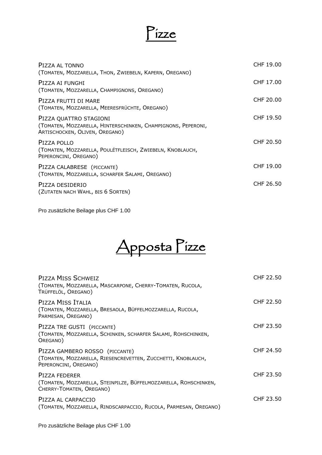

| PIZZA AL TONNO<br>(TOMATEN, MOZZARELLA, THON, ZWIEBELN, KAPERN, OREGANO)                                                 | CHF 19.00 |
|--------------------------------------------------------------------------------------------------------------------------|-----------|
| PIZZA AI FUNGHI<br>(TOMATEN, MOZZARELLA, CHAMPIGNONS, OREGANO)                                                           | CHF 17.00 |
| PIZZA FRUTTI DI MARE<br>(TOMATEN, MOZZARELLA, MEERESFRÜCHTE, OREGANO)                                                    | CHF 20.00 |
| PIZZA QUATTRO STAGIONI<br>(TOMATEN, MOZZARELLA, HINTERSCHINKEN, CHAMPIGNONS, PEPERONI,<br>ARTISCHOCKEN, OLIVEN, OREGANO) | CHF 19.50 |
| PIZZA POLLO<br>(TOMATEN, MOZZARELLA, POULÉTFLEISCH, ZWIEBELN, KNOBLAUCH,<br>PEPERONCINI, OREGANO)                        | CHF 20.50 |
| PIZZA CALABRESE (PICCANTE)<br>(TOMATEN, MOZZARELLA, SCHARFER SALAMI, OREGANO)                                            | CHF 19.00 |
| PIZZA DESIDERIO<br>(ZUTATEN NACH WAHL, BIS 6 SORTEN)                                                                     | CHF 26.50 |

Pro zusätzliche Beilage plus CHF 1.00

|  | dosta i | $\sim$ |
|--|---------|--------|
|  |         |        |

| PIZZA MISS SCHWEIZ<br>(TOMATEN, MOZZARELLA, MASCARPONE, CHERRY-TOMATEN, RUCOLA,<br>TRÜFFELÖL, OREGANO)                  | CHF 22.50 |
|-------------------------------------------------------------------------------------------------------------------------|-----------|
| PIZZA MISS ITALIA<br>(TOMATEN, MOZZARELLA, BRESAOLA, BÜFFELMOZZARELLA, RUCOLA,<br>PARMESAN, OREGANO)                    | CHF 22.50 |
| PIZZA TRE GUSTI (PICCANTE)<br>(TOMATEN, MOZZARELLA, SCHINKEN, SCHARFER SALAMI, ROHSCHINKEN,<br>OREGANO)                 | CHF 23.50 |
| PIZZA GAMBERO ROSSO (PICCANTE)<br>(TOMATEN, MOZZARELLA, RIESENCREVETTEN, ZUCCHETTI, KNOBLAUCH,<br>PEPERONCINI, OREGANO) | CHF 24.50 |
| PIZZA FEDERER<br>(TOMATEN, MOZZARELLA, STEINPILZE, BÜFFELMOZZARELLA, ROHSCHINKEN,<br>CHERRY-TOMATEN, OREGANO)           | CHF 23.50 |
| PIZZA AL CARPACCIO<br>(TOMATEN, MOZZARELLA, RINDSCARPACCIO, RUCOLA, PARMESAN, OREGANO)                                  | CHF 23.50 |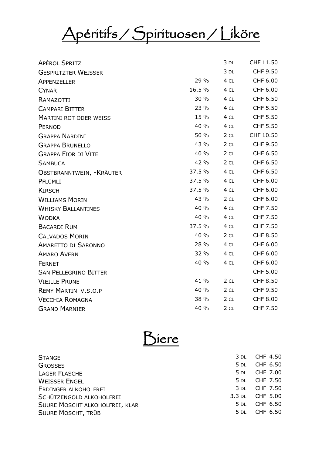# Apéritifs / Spirituosen / Liköre

| <b>APÉROL SPRITZ</b>          |        | 3 DL            | CHF 11.50       |
|-------------------------------|--------|-----------------|-----------------|
| <b>GESPRITZTER WEISSER</b>    |        | $3$ DL          | CHF 9.50        |
| APPENZELLER                   | 29 %   | 4 CL            | CHF 6.00        |
| <b>CYNAR</b>                  | 16.5 % | 4 CL            | CHF 6.00        |
| RAMAZOTTI                     | 30 %   | 4 CL            | CHF 6.50        |
| <b>CAMPARI BITTER</b>         | 23 %   | 4 CL            | <b>CHF 5.50</b> |
| <b>MARTINI ROT ODER WEISS</b> | 15 %   | 4 CL            | <b>CHF 5.50</b> |
| PERNOD                        | 40 %   | 4 CL            | <b>CHF 5.50</b> |
| <b>GRAPPA NARDINI</b>         | 50 %   | 2 <sub>CL</sub> | CHF 10.50       |
| <b>GRAPPA BRUNELLO</b>        | 43 %   | 2 <sub>CL</sub> | CHF 9.50        |
| <b>GRAPPA FIOR DI VITE</b>    | 40 %   | 2 <sub>CL</sub> | CHF 6.50        |
| <b>SAMBUCA</b>                | 42 %   | 2 <sub>CL</sub> | CHF 6.50        |
| OBSTBRANNTWEIN, - KRÄUTER     | 37.5 % | 4 CL            | CHF 6.50        |
| PFLÜMLI                       | 37.5 % | 4 CL            | CHF 6.00        |
| <b>KIRSCH</b>                 | 37.5 % | 4 CL            | CHF 6.00        |
| <b>WILLIAMS MORIN</b>         | 43 %   | 2 <sub>CL</sub> | CHF 6.00        |
| <b>WHISKY BALLANTINES</b>     | 40 %   | 4 CL            | CHF 7.50        |
| <b>WODKA</b>                  | 40 %   | 4 CL            | CHF 7.50        |
| <b>BACARDI RUM</b>            | 37.5 % | 4 CL            | CHF 7.50        |
| <b>CALVADOS MORIN</b>         | 40 %   | 2CL             | <b>CHF 8.50</b> |
| <b>AMARETTO DI SARONNO</b>    | 28 %   | 4 CL            | CHF 6.00        |
| <b>AMARO AVERN</b>            | 32 %   | 4 CL            | CHF 6.00        |
| <b>FERNET</b>                 | 40 %   | 4 CL            | CHF 6.00        |
| <b>SAN PELLEGRINO BITTER</b>  |        |                 | <b>CHF 5.00</b> |
| <b>VIEILLE PRUNE</b>          | 41 %   | 2 CL            | <b>CHF 8.50</b> |
| <b>REMY MARTIN V.S.O.P</b>    | 40 %   | 2CL             | CHF 9.50        |
| <b>VECCHIA ROMAGNA</b>        | 38 %   | 2 <sub>CL</sub> | <b>CHF 8.00</b> |
| <b>GRAND MARNIER</b>          | 40 %   | 2 <sub>CL</sub> | CHF 7.50        |



| <b>STANGE</b>                  | 3 DL CHF 4.50   |
|--------------------------------|-----------------|
| <b>GROSSES</b>                 | 5 DL CHF 6.50   |
| <b>LAGER FLASCHE</b>           | 5 DL CHF 7.00   |
| <b>WEISSER ENGEL</b>           | 5 DL CHF 7.50   |
| ERDINGER ALKOHOLFREI           | 3 DL CHF 7.50   |
| SCHÜTZENGOLD ALKOHOLFREI       | 3.3 DL CHF 5.00 |
| SUURE MOSCHT ALKOHOLFREI, KLAR | 5 DL CHF 6.50   |
| <b>SUURE MOSCHT, TRÜB</b>      | 5 DL CHF 6.50   |
|                                |                 |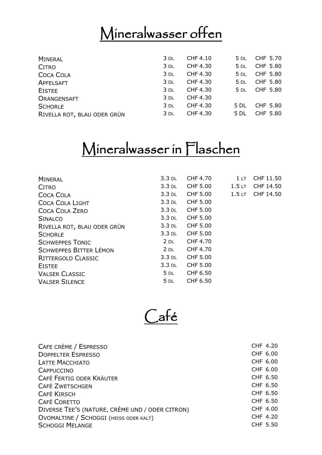# Mineralwasser offen

| <b>MINERAL</b>              | 3 DL   | CHF 4.10 | $5$ DL | CHF 5.70 |
|-----------------------------|--------|----------|--------|----------|
| <b>CITRO</b>                | 3 DL   | CHF 4.30 | $5$ DL | CHF 5.80 |
| <b>COCA COLA</b>            | 3 DL   | CHF 4.30 | $5$ DL | CHF 5.80 |
| APFELSAFT                   | $3$ DL | CHF 4.30 | 5 DL   | CHF 5.80 |
| <b>EISTEE</b>               | 3 DL   | CHF 4.30 | $5$ DL | CHF 5.80 |
| ORANGENSAFT                 | 3 DL   | CHF 4.30 |        |          |
| <b>SCHORLE</b>              | 3 DL   | CHF 4.30 | 5 DL   | CHF 5.80 |
| RIVELLA ROT, BLAU ODER GRÜN | 3 DL   | CHF 4.30 | 5 DL   | CHF 5.80 |
|                             |        |          |        |          |

### Mineralwasser in Flaschen

| <b>MINERAL</b>                | $3.3$ DL | <b>CHF 4.70</b> | 1 <sub>LT</sub>   | CHF 11.50 |
|-------------------------------|----------|-----------------|-------------------|-----------|
| <b>CITRO</b>                  | $3.3$ DL | <b>CHF 5.00</b> | 1.5 <sub>LT</sub> | CHF 14.50 |
| <b>COCA COLA</b>              | $3.3$ DL | <b>CHF 5.00</b> | 1.5 <sub>LT</sub> | CHF 14.50 |
| <b>COCA COLA LIGHT</b>        | $3.3$ DL | <b>CHF 5.00</b> |                   |           |
| <b>COCA COLA ZERO</b>         | $3.3$ DL | <b>CHF 5.00</b> |                   |           |
| <b>SINALCO</b>                | $3.3$ DL | <b>CHF 5.00</b> |                   |           |
| RIVELLA ROT, BLAU ODER GRÜN   | $3.3$ DL | <b>CHF 5.00</b> |                   |           |
| <b>SCHORLE</b>                | 3.3 DL   | <b>CHF 5.00</b> |                   |           |
| <b>SCHWEPPES TONIC</b>        | $2$ DL   | CHF 4.70        |                   |           |
| <b>SCHWEPPES BITTER LÉMON</b> | $2$ DL   | CHF 4.70        |                   |           |
| <b>RITTERGOLD CLASSIC</b>     | $3.3$ DL | <b>CHF 5.00</b> |                   |           |
| <b>EISTEE</b>                 | $3.3$ DL | <b>CHF 5.00</b> |                   |           |
| <b>VALSER CLASSIC</b>         | $5$ DL   | CHF 6.50        |                   |           |
| <b>VALSER SILENCE</b>         | $5$ DL   | CHF 6.50        |                   |           |

Café

| CAFE CRÈME / ESPRESSO                           | CHF 4.20 |
|-------------------------------------------------|----------|
| <b>DOPPELTER ESPRESSO</b>                       | CHF 6.00 |
| <b>LATTE MACCHIATO</b>                          | CHF 6.00 |
| <b>CAPPUCCINO</b>                               | CHF 6.00 |
| CAFÉ FERTIG ODER KRÄUTER                        | CHF 6.50 |
| <b>CAFÉ ZWETSCHGEN</b>                          | CHF 6.50 |
| <b>CAFÉ KIRSCH</b>                              | CHF 6.50 |
| <b>CAFÉ CORETTO</b>                             | CHF 6.50 |
| DIVERSE TEE'S (NATURE, CRÈME UND / ODER CITRON) | CHF 4.00 |
| OVOMALTINE / SCHOGGI (HEISS ODER KALT)          | CHF 4.20 |
| <b>SCHOGGI MELANGE</b>                          | CHF 5.50 |
|                                                 |          |